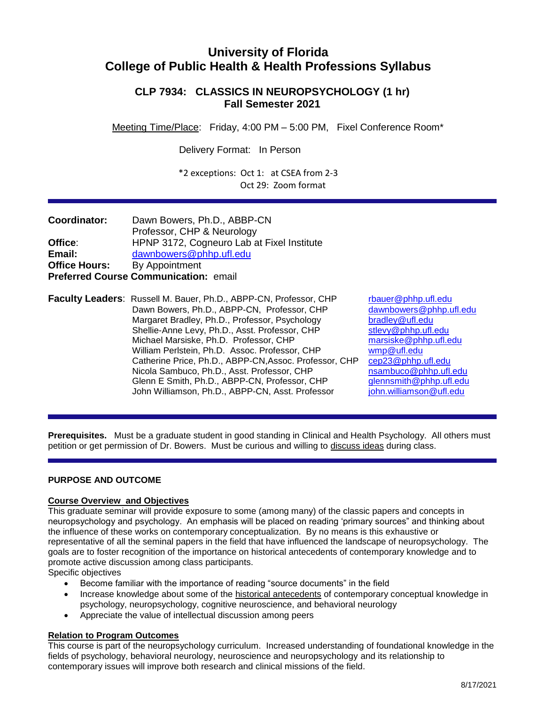# **University of Florida College of Public Health & Health Professions Syllabus**

# **CLP 7934: CLASSICS IN NEUROPSYCHOLOGY (1 hr) Fall Semester 2021**

Meeting Time/Place: Friday, 4:00 PM – 5:00 PM, Fixel Conference Room\*

Delivery Format: In Person

\*2 exceptions: Oct 1: at CSEA from 2-3 Oct 29: Zoom format

| <b>Coordinator:</b>                   | Dawn Bowers, Ph.D., ABBP-CN                |  |  |  |  |  |  |  |
|---------------------------------------|--------------------------------------------|--|--|--|--|--|--|--|
|                                       | Professor, CHP & Neurology                 |  |  |  |  |  |  |  |
| Office:                               | HPNP 3172, Cogneuro Lab at Fixel Institute |  |  |  |  |  |  |  |
| Email:                                | dawnbowers@phhp.ufl.edu                    |  |  |  |  |  |  |  |
| <b>Office Hours:</b>                  | By Appointment                             |  |  |  |  |  |  |  |
| Preferred Course Communication: email |                                            |  |  |  |  |  |  |  |

**Faculty Leaders**: Russell M. Bauer, Ph.D., ABPP-CN, Professor, CHP reduct phhp.ufl.edu<br>Dawn Bowers. Ph.D., ABPP-CN, Professor, CHP dawnbowers@phhp.ufl.edu Dawn Bowers, Ph.D., ABPP-CN, Professor, CHP Margaret Bradley, Ph.D., Professor, Psychology<br>Shellie-Anne Levy, Ph.D., Asst. Professor, CHP stlevy@phhp.ufl.edu Shellie-Anne Levy, Ph.D., Asst. Professor, CHP Michael Marsiske, Ph.D. Professor, CHP [marsiske@phhp.ufl.edu](mailto:marsiske@phhp.ufl.edu)<br>William Perlstein, Ph.D. Assoc. Professor, CHP wmp@ufl.edu William Perlstein, Ph.D. Assoc. Professor, CHP Catherine Price, Ph.D., ABPP-CN,Assoc. Professor, CHP [cep23@phhp.ufl.edu](mailto:cep23@phhp.ufl.edu) Nicola Sambuco, Ph.D., Asst. Professor, CHP [nsambuco@phhp.ufl.edu](mailto:nsambuco@phhp.ufl.edu) Glenn E Smith, Ph.D., ABPP-CN, Professor, CHP *[glennsmith@phhp.ufl.edu](mailto:glennsmith@phhp.ufl.edu)*<br>John Williamson, Ph.D., ABPP-CN, Asst. Professor *john.williamson@ufl.edu* John Williamson, Ph.D., ABPP-CN, Asst. Professor

**Prerequisites.** Must be a graduate student in good standing in Clinical and Health Psychology. All others must petition or get permission of Dr. Bowers. Must be curious and willing to discuss ideas during class.

# **PURPOSE AND OUTCOME**

## **Course Overview and Objectives**

This graduate seminar will provide exposure to some (among many) of the classic papers and concepts in neuropsychology and psychology. An emphasis will be placed on reading 'primary sources" and thinking about the influence of these works on contemporary conceptualization. By no means is this exhaustive or representative of all the seminal papers in the field that have influenced the landscape of neuropsychology. The goals are to foster recognition of the importance on historical antecedents of contemporary knowledge and to promote active discussion among class participants.

Specific objectives

- Become familiar with the importance of reading "source documents" in the field
- Increase knowledge about some of the historical antecedents of contemporary conceptual knowledge in psychology, neuropsychology, cognitive neuroscience, and behavioral neurology
- Appreciate the value of intellectual discussion among peers

# **Relation to Program Outcomes**

This course is part of the neuropsychology curriculum. Increased understanding of foundational knowledge in the fields of psychology, behavioral neurology, neuroscience and neuropsychology and its relationship to contemporary issues will improve both research and clinical missions of the field.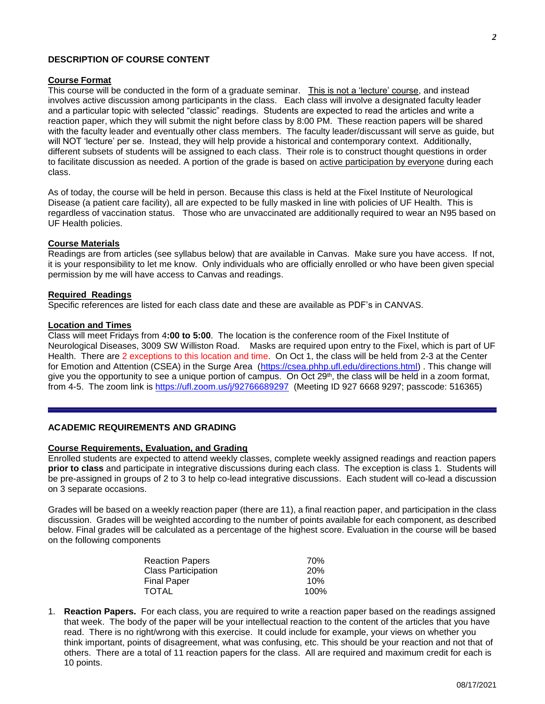#### **Course Format**

This course will be conducted in the form of a graduate seminar. This is not a 'lecture' course, and instead involves active discussion among participants in the class. Each class will involve a designated faculty leader and a particular topic with selected "classic" readings. Students are expected to read the articles and write a reaction paper, which they will submit the night before class by 8:00 PM. These reaction papers will be shared with the faculty leader and eventually other class members. The faculty leader/discussant will serve as guide, but will NOT 'lecture' per se. Instead, they will help provide a historical and contemporary context. Additionally, different subsets of students will be assigned to each class. Their role is to construct thought questions in order to facilitate discussion as needed. A portion of the grade is based on active participation by everyone during each class.

As of today, the course will be held in person. Because this class is held at the Fixel Institute of Neurological Disease (a patient care facility), all are expected to be fully masked in line with policies of UF Health. This is regardless of vaccination status. Those who are unvaccinated are additionally required to wear an N95 based on UF Health policies.

#### **Course Materials**

Readings are from articles (see syllabus below) that are available in Canvas. Make sure you have access. If not, it is your responsibility to let me know. Only individuals who are officially enrolled or who have been given special permission by me will have access to Canvas and readings.

#### **Required Readings**

Specific references are listed for each class date and these are available as PDF's in CANVAS.

#### **Location and Times**

Class will meet Fridays from 4**:00 to 5:00**. The location is the conference room of the Fixel Institute of Neurological Diseases, 3009 SW Williston Road. Masks are required upon entry to the Fixel, which is part of UF Health. There are 2 exceptions to this location and time. On Oct 1, the class will be held from 2-3 at the Center for Emotion and Attention (CSEA) in the Surge Area [\(https://csea.phhp.ufl.edu/directions.html\)](https://csea.phhp.ufl.edu/directions.html). This change will give you the opportunity to see a unique portion of campus. On Oct 29<sup>th</sup>, the class will be held in a zoom format, from 4-5. The zoom link is<https://ufl.zoom.us/j/92766689297>(Meeting ID 927 6668 9297; passcode: 516365)

## **ACADEMIC REQUIREMENTS AND GRADING**

#### **Course Requirements, Evaluation, and Grading**

Enrolled students are expected to attend weekly classes, complete weekly assigned readings and reaction papers **prior to class** and participate in integrative discussions during each class. The exception is class 1. Students will be pre-assigned in groups of 2 to 3 to help co-lead integrative discussions. Each student will co-lead a discussion on 3 separate occasions.

Grades will be based on a weekly reaction paper (there are 11), a final reaction paper, and participation in the class discussion. Grades will be weighted according to the number of points available for each component, as described below. Final grades will be calculated as a percentage of the highest score. Evaluation in the course will be based on the following components

| <b>Reaction Papers</b>     | 70%        |
|----------------------------|------------|
| <b>Class Participation</b> | <b>20%</b> |
| <b>Final Paper</b>         | 10%        |
| <b>TOTAL</b>               | 100%       |

1. **Reaction Papers.** For each class, you are required to write a reaction paper based on the readings assigned that week. The body of the paper will be your intellectual reaction to the content of the articles that you have read. There is no right/wrong with this exercise. It could include for example, your views on whether you think important, points of disagreement, what was confusing, etc. This should be your reaction and not that of others. There are a total of 11 reaction papers for the class. All are required and maximum credit for each is 10 points.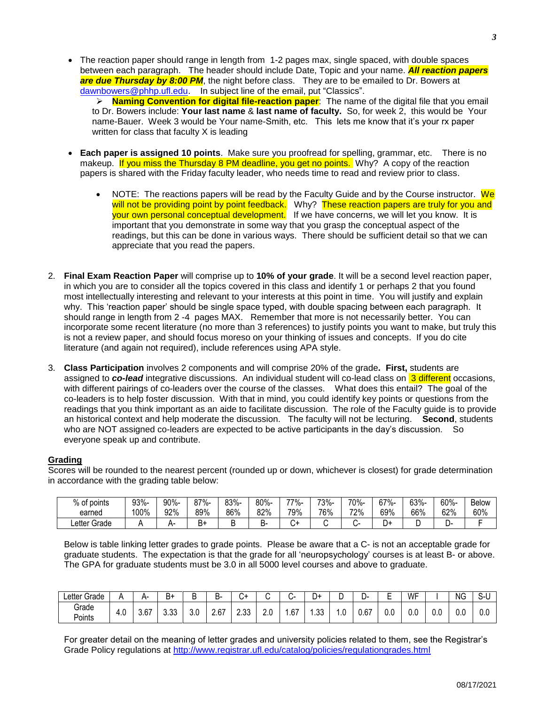• The reaction paper should range in length from 1-2 pages max, single spaced, with double spaces between each paragraph. The header should include Date, Topic and your name. *All reaction papers*  are due Thursday by 8:00 PM, the night before class. They are to be emailed to Dr. Bowers at [dawnbowers@phhp.ufl.edu.](mailto:dawnbowers@phhp.ufl.edu) In subject line of the email, put "Classics".

 **Naming Convention for digital file-reaction paper**: The name of the digital file that you email to Dr. Bowers include: **Your last name** & **last name of faculty.** So, for week 2, this would be Your name-Bauer. Week 3 would be Your name-Smith, etc. This lets me know that it's your rx paper written for class that faculty X is leading

- **Each paper is assigned 10 points**. Make sure you proofread for spelling, grammar, etc. There is no makeup. If you miss the Thursday 8 PM deadline, you get no points. Why? A copy of the reaction papers is shared with the Friday faculty leader, who needs time to read and review prior to class.
	- $\bullet$  NOTE: The reactions papers will be read by the Faculty Guide and by the Course instructor. We will not be providing point by point feedback. Why? These reaction papers are truly for you and your own personal conceptual development. If we have concerns, we will let you know. It is important that you demonstrate in some way that you grasp the conceptual aspect of the readings, but this can be done in various ways. There should be sufficient detail so that we can appreciate that you read the papers.
- 2. **Final Exam Reaction Paper** will comprise up to **10% of your grade**. It will be a second level reaction paper, in which you are to consider all the topics covered in this class and identify 1 or perhaps 2 that you found most intellectually interesting and relevant to your interests at this point in time. You will justify and explain why. This 'reaction paper' should be single space typed, with double spacing between each paragraph. It should range in length from 2 -4 pages MAX. Remember that more is not necessarily better. You can incorporate some recent literature (no more than 3 references) to justify points you want to make, but truly this is not a review paper, and should focus moreso on your thinking of issues and concepts. If you do cite literature (and again not required), include references using APA style.
- 3. **Class Participation** involves 2 components and will comprise 20% of the grade**. First,** students are assigned to *co-lead* integrative discussions. An individual student will co-lead class on 3 different occasions, with different pairings of co-leaders over the course of the classes. What does this entail? The goal of the co-leaders is to help foster discussion. With that in mind, you could identify key points or questions from the readings that you think important as an aide to facilitate discussion. The role of the Faculty guide is to provide an historical context and help moderate the discussion. The faculty will not be lecturing. **Second**, students who are NOT assigned co-leaders are expected to be active participants in the day's discussion. So everyone speak up and contribute.

# **Grading**

Scores will be rounded to the nearest percent (rounded up or down, whichever is closest) for grade determination in accordance with the grading table below:

| $%$ of<br>∶points | 93%- | 90%- |         | 83%- | 80%- | 77%-   | 73%- | 70%- | 67%- | $3\%$ - | 60%- | <b>Below</b> |
|-------------------|------|------|---------|------|------|--------|------|------|------|---------|------|--------------|
| earned            | 100% | 92%  | 89%     | 86%  | 82%  | 79%    | 76%  | 72%  | 69%  | 66%     | 62%  | 60%          |
| Letter Grade      |      | n-   | -<br>Ь۶ | L    | -ם   | ∽<br>ີ |      |      | +ل   |         |      |              |

Below is table linking letter grades to grade points. Please be aware that a C- is not an acceptable grade for graduate students. The expectation is that the grade for all 'neuropsychology' courses is at least B- or above. The GPA for graduate students must be 3.0 in all 5000 level courses and above to graduate.

| ∟etter Grade    |     | $-$                   | В+             |                                 | -<br>ь- |                |            | -<br>$\overline{a}$ | -<br>+ل   | -<br>◡ | -ب   | -<br>- | WF  |     | <b>NG</b> | $\sim$<br>o-c |
|-----------------|-----|-----------------------|----------------|---------------------------------|---------|----------------|------------|---------------------|-----------|--------|------|--------|-----|-----|-----------|---------------|
| Grade<br>Points | 4.U | $\sim$ $\sim$<br>3.6/ | $\sim$<br>ບ.ບບ | $\overline{\phantom{a}}$<br>J.U | 2.67    | $\sim$<br>L.vu | ח ו<br>Z.U | .67                 | າາ<br>.ں. | . . ب  | 0.67 | U.U    | v.v | 0.0 | 0.0       | 0.0           |

For greater detail on the meaning of letter grades and university policies related to them, see the Registrar's Grade Policy regulations at<http://www.registrar.ufl.edu/catalog/policies/regulationgrades.html>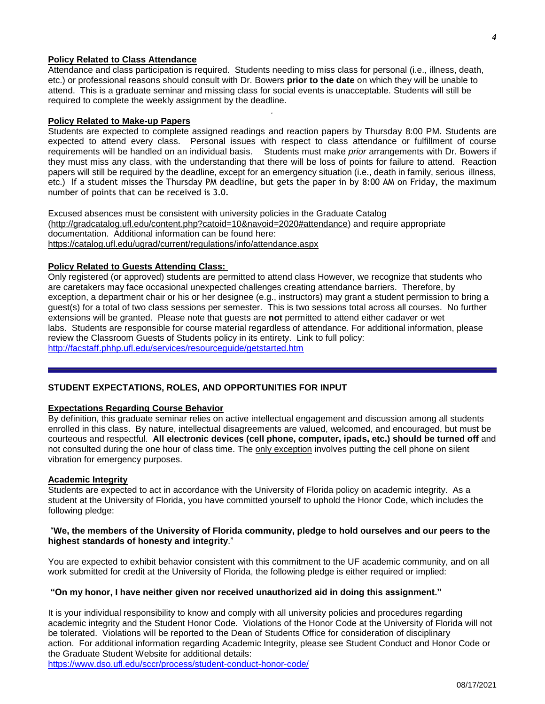#### etc.) If a student misses the Thursday PM deadline, but gets the paper in by 8:00 AM on Friday, the maximum number of points that can be received is 3.0.

**Policy Related to Class Attendance** 

**Policy Related to Make-up Papers**

required to complete the weekly assignment by the deadline.

Excused absences must be consistent with university policies in the Graduate Catalog [\(http://gradcatalog.ufl.edu/content.php?catoid=10&navoid=2020#attendance\)](http://gradcatalog.ufl.edu/content.php?catoid=10&navoid=2020#attendance) and require appropriate documentation. Additional information can be found here: <https://catalog.ufl.edu/ugrad/current/regulations/info/attendance.aspx>

## **Policy Related to Guests Attending Class:**

Only registered (or approved) students are permitted to attend class However, we recognize that students who are caretakers may face occasional unexpected challenges creating attendance barriers. Therefore, by exception, a department chair or his or her designee (e.g., instructors) may grant a student permission to bring a guest(s) for a total of two class sessions per semester. This is two sessions total across all courses. No further extensions will be granted. Please note that guests are **not** permitted to attend either cadaver or wet labs. Students are responsible for course material regardless of attendance. For additional information, please review the Classroom Guests of Students policy in its entirety. Link to full policy: <http://facstaff.phhp.ufl.edu/services/resourceguide/getstarted.htm>

Attendance and class participation is required. Students needing to miss class for personal (i.e., illness, death, etc.) or professional reasons should consult with Dr. Bowers **prior to the date** on which they will be unable to attend. This is a graduate seminar and missing class for social events is unacceptable. Students will still be

*.*

Students are expected to complete assigned readings and reaction papers by Thursday 8:00 PM. Students are expected to attend every class. Personal issues with respect to class attendance or fulfillment of course requirements will be handled on an individual basis. Students must make *prior* arrangements with Dr. Bowers if they must miss any class, with the understanding that there will be loss of points for failure to attend. Reaction papers will still be required by the deadline, except for an emergency situation (i.e., death in family, serious illness,

#### **STUDENT EXPECTATIONS, ROLES, AND OPPORTUNITIES FOR INPUT**

#### **Expectations Regarding Course Behavior**

By definition, this graduate seminar relies on active intellectual engagement and discussion among all students enrolled in this class. By nature, intellectual disagreements are valued, welcomed, and encouraged, but must be courteous and respectful. **All electronic devices (cell phone, computer, ipads, etc.) should be turned off** and not consulted during the one hour of class time. The only exception involves putting the cell phone on silent vibration for emergency purposes.

#### **Academic Integrity**

Students are expected to act in accordance with the University of Florida policy on academic integrity. As a student at the University of Florida, you have committed yourself to uphold the Honor Code, which includes the following pledge:

#### "We, the members of the University of Florida community, pledge to hold ourselves and our peers to the **highest standards of honesty and integrity**."

You are expected to exhibit behavior consistent with this commitment to the UF academic community, and on all work submitted for credit at the University of Florida, the following pledge is either required or implied:

# **"On my honor, I have neither given nor received unauthorized aid in doing this assignment."**

It is your individual responsibility to know and comply with all university policies and procedures regarding academic integrity and the Student Honor Code. Violations of the Honor Code at the University of Florida will not be tolerated. Violations will be reported to the Dean of Students Office for consideration of disciplinary action. For additional information regarding Academic Integrity, please see Student Conduct and Honor Code or the Graduate Student Website for additional details: <https://www.dso.ufl.edu/sccr/process/student-conduct-honor-code/>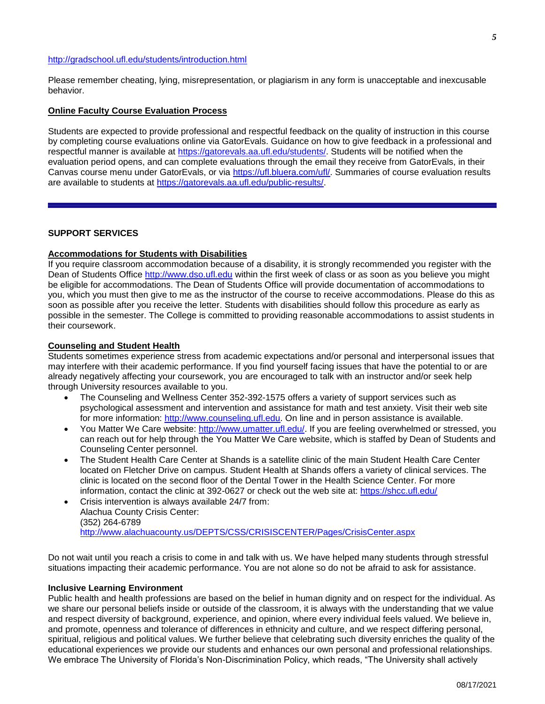#### <http://gradschool.ufl.edu/students/introduction.html>

Please remember cheating, lying, misrepresentation, or plagiarism in any form is unacceptable and inexcusable behavior.

#### **Online Faculty Course Evaluation Process**

Students are expected to provide professional and respectful feedback on the quality of instruction in this course by completing course evaluations online via GatorEvals. Guidance on how to give feedback in a professional and respectful manner is available at [https://gatorevals.aa.ufl.edu/students/.](https://gatorevals.aa.ufl.edu/students/) Students will be notified when the evaluation period opens, and can complete evaluations through the email they receive from GatorEvals, in their Canvas course menu under GatorEvals, or via [https://ufl.bluera.com/ufl/.](https://urldefense.proofpoint.com/v2/url?u=https-3A__ufl.bluera.com_ufl_&d=DwMFAg&c=sJ6xIWYx-zLMB3EPkvcnVg&r=y2HjEMjRMHJhfdvLrqJZlYczRsfp5e4TfQjHuc5rVHg&m=WXko6OK_Ha6T00ZVAsEaSh99qRXHOgMNFRywCoehRho&s=itVU46DDJjnIg4CW6efJOOLgPjdzsPvCghyfzJoFONs&e=) Summaries of course evaluation results are available to students at [https://gatorevals.aa.ufl.edu/public-results/.](https://gatorevals.aa.ufl.edu/public-results/)

#### **SUPPORT SERVICES**

# **Accommodations for Students with Disabilities**

If you require classroom accommodation because of a disability, it is strongly recommended you register with the Dean of Students Office [http://www.dso.ufl.edu](http://www.dso.ufl.edu/) within the first week of class or as soon as you believe you might be eligible for accommodations. The Dean of Students Office will provide documentation of accommodations to you, which you must then give to me as the instructor of the course to receive accommodations. Please do this as soon as possible after you receive the letter. Students with disabilities should follow this procedure as early as possible in the semester. The College is committed to providing reasonable accommodations to assist students in their coursework.

#### **Counseling and Student Health**

Students sometimes experience stress from academic expectations and/or personal and interpersonal issues that may interfere with their academic performance. If you find yourself facing issues that have the potential to or are already negatively affecting your coursework, you are encouraged to talk with an instructor and/or seek help through University resources available to you.

- The Counseling and Wellness Center 352-392-1575 offers a variety of support services such as psychological assessment and intervention and assistance for math and test anxiety. Visit their web site for more information: [http://www.counseling.ufl.edu.](http://www.counseling.ufl.edu/) On line and in person assistance is available.
- You Matter We Care website: [http://www.umatter.ufl.edu/.](http://www.umatter.ufl.edu/) If you are feeling overwhelmed or stressed, you can reach out for help through the You Matter We Care website, which is staffed by Dean of Students and Counseling Center personnel.
- The Student Health Care Center at Shands is a satellite clinic of the main Student Health Care Center located on Fletcher Drive on campus. Student Health at Shands offers a variety of clinical services. The clinic is located on the second floor of the Dental Tower in the Health Science Center. For more information, contact the clinic at 392-0627 or check out the web site at: <https://shcc.ufl.edu/>
- Crisis intervention is always available 24/7 from: Alachua County Crisis Center: (352) 264-6789 <http://www.alachuacounty.us/DEPTS/CSS/CRISISCENTER/Pages/CrisisCenter.aspx>

Do not wait until you reach a crisis to come in and talk with us. We have helped many students through stressful situations impacting their academic performance. You are not alone so do not be afraid to ask for assistance.

#### **Inclusive Learning Environment**

Public health and health professions are based on the belief in human dignity and on respect for the individual. As we share our personal beliefs inside or outside of the classroom, it is always with the understanding that we value and respect diversity of background, experience, and opinion, where every individual feels valued. We believe in, and promote, openness and tolerance of differences in ethnicity and culture, and we respect differing personal, spiritual, religious and political values. We further believe that celebrating such diversity enriches the quality of the educational experiences we provide our students and enhances our own personal and professional relationships. We embrace The University of Florida's Non-Discrimination Policy, which reads, "The University shall actively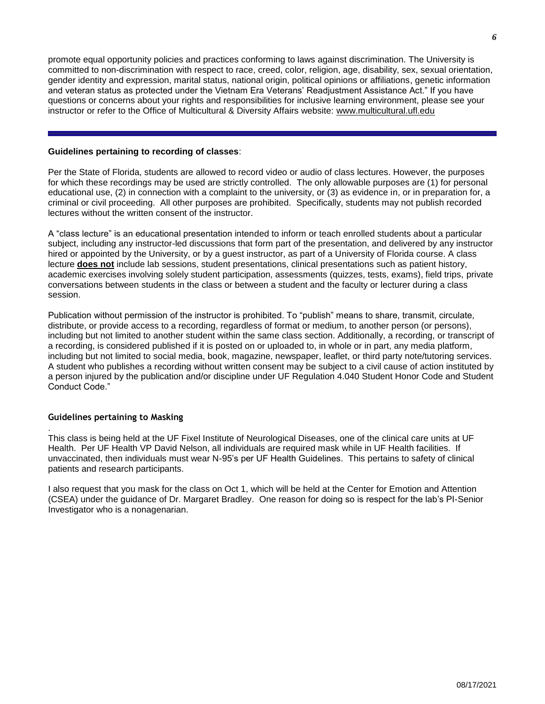promote equal opportunity policies and practices conforming to laws against discrimination. The University is committed to non-discrimination with respect to race, creed, color, religion, age, disability, sex, sexual orientation, gender identity and expression, marital status, national origin, political opinions or affiliations, genetic information and veteran status as protected under the Vietnam Era Veterans' Readjustment Assistance Act." If you have questions or concerns about your rights and responsibilities for inclusive learning environment, please see your instructor or refer to the Office of Multicultural & Diversity Affairs website: [www.multicultural.ufl.edu](http://www.multicultural.ufl.edu/)

## **Guidelines pertaining to recording of classes**:

Per the State of Florida, students are allowed to record video or audio of class lectures. However, the purposes for which these recordings may be used are strictly controlled. The only allowable purposes are (1) for personal educational use, (2) in connection with a complaint to the university, or (3) as evidence in, or in preparation for, a criminal or civil proceeding. All other purposes are prohibited. Specifically, students may not publish recorded lectures without the written consent of the instructor.

A "class lecture" is an educational presentation intended to inform or teach enrolled students about a particular subject, including any instructor-led discussions that form part of the presentation, and delivered by any instructor hired or appointed by the University, or by a guest instructor, as part of a University of Florida course. A class lecture **does not** include lab sessions, student presentations, clinical presentations such as patient history, academic exercises involving solely student participation, assessments (quizzes, tests, exams), field trips, private conversations between students in the class or between a student and the faculty or lecturer during a class session.

Publication without permission of the instructor is prohibited. To "publish" means to share, transmit, circulate, distribute, or provide access to a recording, regardless of format or medium, to another person (or persons), including but not limited to another student within the same class section. Additionally, a recording, or transcript of a recording, is considered published if it is posted on or uploaded to, in whole or in part, any media platform, including but not limited to social media, book, magazine, newspaper, leaflet, or third party note/tutoring services. A student who publishes a recording without written consent may be subject to a civil cause of action instituted by a person injured by the publication and/or discipline under UF Regulation 4.040 Student Honor Code and Student Conduct Code."

## **Guidelines pertaining to Masking**

.

This class is being held at the UF Fixel Institute of Neurological Diseases, one of the clinical care units at UF Health. Per UF Health VP David Nelson, all individuals are required mask while in UF Health facilities. If unvaccinated, then individuals must wear N-95's per UF Health Guidelines. This pertains to safety of clinical patients and research participants.

I also request that you mask for the class on Oct 1, which will be held at the Center for Emotion and Attention (CSEA) under the guidance of Dr. Margaret Bradley. One reason for doing so is respect for the lab's PI-Senior Investigator who is a nonagenarian.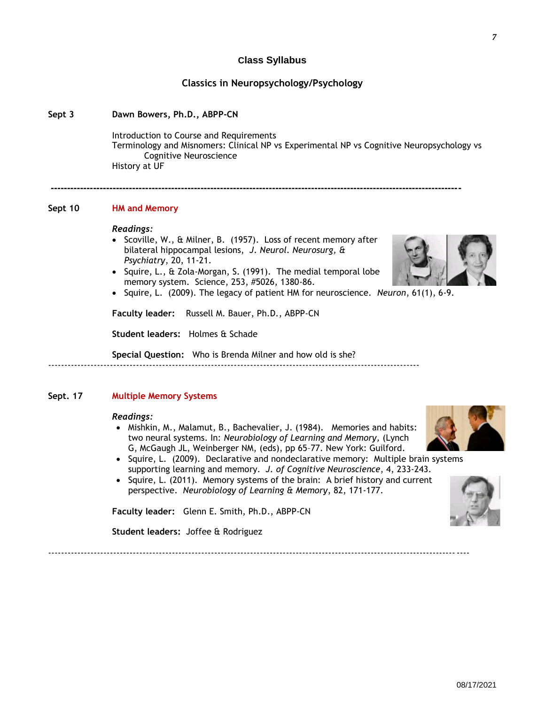08/17/2021

### **Class Syllabus**

# **Classics in Neuropsychology/Psychology**

### **Sept 3 Dawn Bowers, Ph.D., ABPP-CN**

Introduction to Course and Requirements Terminology and Misnomers: Clinical NP vs Experimental NP vs Cognitive Neuropsychology vs Cognitive Neuroscience History at UF

#### **Sept 10 HM and Memory**

#### *Readings:*

• Scoville, W., & Milner, B. (1957). Loss of recent memory after bilateral hippocampal lesions, *J. Neurol. Neurosurg, & Psychiatry*, 20, 11-21.

**------------------------------------------------------------------------------------------------------------------------------**

- Squire, L., & Zola-Morgan, S. (1991). The medial temporal lobe memory system. Science, 253, #5026, 1380-86.
- Squire, L. (2009). The legacy of patient HM for neuroscience. *Neuron*, 61(1), 6-9.

**Faculty leader:** Russell M. Bauer, Ph.D., ABPP-CN

**Student leaders:** Holmes & Schade

**Special Question:** Who is Brenda Milner and how old is she? ------------------------------------------------------------------------------------------------------------------

#### **Sept. 17 Multiple Memory Systems**

#### *Readings:*

- Mishkin, M., Malamut, B., Bachevalier, J. (1984). Memories and habits: two neural systems. In: *Neurobiology of Learning and Memory,* (Lynch G, McGaugh JL, Weinberger NM, (eds), pp 65–77. New York: Guilford.
- Squire, L. (2009). Declarative and nondeclarative memory: Multiple brain systems supporting learning and memory. *J. of Cognitive Neuroscience*, 4, 233-243.
- Squire, L. (2011). Memory systems of the brain: A brief history and current perspective. *Neurobiology of Learning & Memory*, 82, 171-177.

**Faculty leader:** Glenn E. Smith, Ph.D., ABPP-CN

**Student leaders:** Joffee & Rodriguez

---------------------------------------------------------------------------------------------------------------------------------



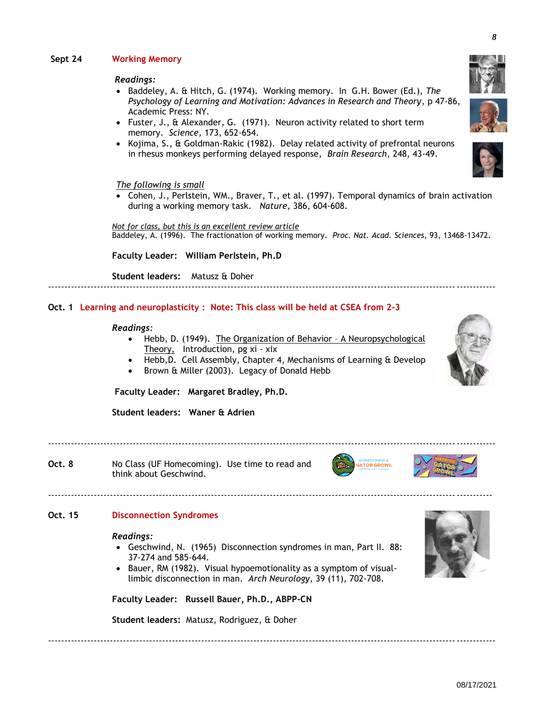# **Sept 24 Working Memory**

### *Readings:*

- Baddeley, A. & Hitch, G. (1974). Working memory. In G.H. Bower (Ed.), *The Psychology of Learning and Motivation: Advances in Research and Theory*, p 47-86, Academic Press: NY.
- Fuster, J., & Alexander, G. (1971). Neuron activity related to short term memory. *Science,* 173, 652-654.
- Kojima, S., & Goldman-Rakic (1982). Delay related activity of prefrontal neurons in rhesus monkeys performing delayed response, *Brain Research*, 248, 43-49.

#### *The following is small*

 Cohen, J., Perlstein, WM., Braver, T., et al. (1997). Temporal dynamics of brain activation during a working memory task. *Nature,* 386, 604-608.

*Not for class, but this is an excellent review article*  Baddeley, A. (1996). The fractionation of working memory. *Proc. Nat. Acad. Sciences*, 93, 13468-13472.

**Faculty Leader: William Perlstein, Ph.D**

**Student leaders:** Matusz & Doher

## **Oct. 1 Learning and neuroplasticity : Note: This class will be held at CSEA from 2-3**

#### *Readings:*

Hebb, D. (1949). The Organization of Behavior - A Neuropsychological Theory, Introduction, pg xi - xix

-----------------------------------------------------------------------------------------------------------------------------------------

- Hebb,D. Cell Assembly, Chapter 4, Mechanisms of Learning & Develop
- Brown & Miller (2003). Legacy of Donald Hebb

-----------------------------------------------------------------------------------------------------------------------------------------

**Faculty Leader: Margaret Bradley, Ph.D.**

**Student leaders: Waner & Adrien** 

**Oct. 8** No Class (UF Homecoming). Use time to read and think about Geschwind.

# **Oct. 15 Disconnection Syndromes**

#### *Readings:*

 Geschwind, N. (1965) Disconnection syndromes in man, Part II. 88: 37-274 and 585-644.

----------------------------------------------------------------------------------------------------------------------------------------

• Bauer, RM (1982). Visual hypoemotionality as a symptom of visuallimbic disconnection in man. *Arch Neurology*, 39 (11), 702-708.

**Faculty Leader: Russell Bauer, Ph.D., ABPP-CN**

**Student leaders:** Matusz, Rodriguez, & Doher











-----------------------------------------------------------------------------------------------------------------------------------------



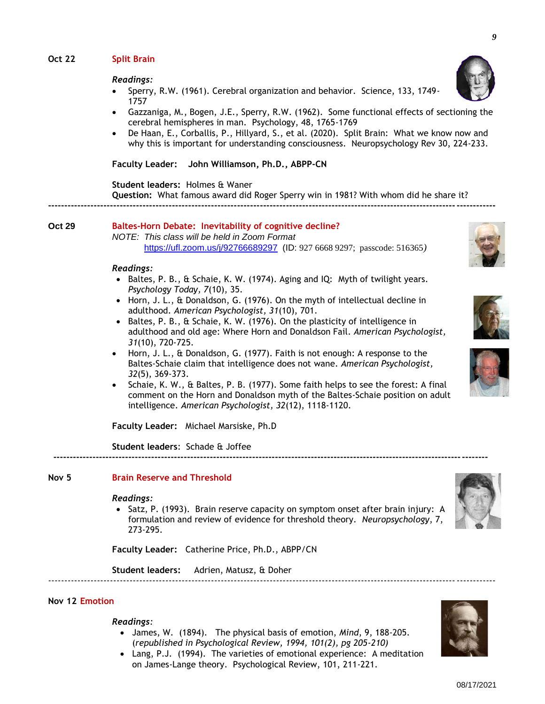# **Oct 22 Split Brain**

#### *Readings:*

- Sperry, R.W. (1961). Cerebral organization and behavior. Science, 133, 1749- 1757
- Gazzaniga, M., Bogen, J.E., Sperry, R.W. (1962). Some functional effects of sectioning the cerebral hemispheres in man. Psychology, 48, 1765-1769
- De Haan, E., Corballis, P., Hillyard, S., et al. (2020). Split Brain: What we know now and why this is important for understanding consciousness. Neuropsychology Rev 30, 224-233.

**Faculty Leader: John Williamson, Ph.D., ABPP-CN**

**Student leaders:** Holmes & Waner **Question:** What famous award did Roger Sperry win in 1981? With whom did he share it?

**-----------------------------------------------------------------------------------------------------------------------------------------**

#### **Oct 29 Baltes-Horn Debate: Inevitability of cognitive decline?** *NOTE: This class will be held in Zoom Format* <https://ufl.zoom.us/j/92766689297>(ID: 927 6668 9297; passcode: 516365*)*

#### *Readings:*

- Baltes, P. B.,  $\&$  Schaie, K. W. (1974). Aging and IQ: Myth of twilight years. *Psychology Today, 7*(10), 35.
- Horn, J. L., & Donaldson, G. (1976). On the myth of intellectual decline in adulthood. *American Psychologist, 31*(10), 701.
- Baltes, P. B., & Schaie, K. W. (1976). On the plasticity of intelligence in adulthood and old age: Where Horn and Donaldson Fail. *American Psychologist, 31*(10), 720-725.
- Horn, J. L., & Donaldson, G. (1977). Faith is not enough: A response to the Baltes-Schaie claim that intelligence does not wane. *American Psychologist, 32*(5), 369-373.
- Schaie, K. W., & Baltes, P. B. (1977). Some faith helps to see the forest: A final comment on the Horn and Donaldson myth of the Baltes-Schaie position on adult intelligence. *American Psychologist, 32*(12), 1118-1120.

**-------------------------------------------------------------------------------------------------------------------------------------**

**Faculty Leader:** Michael Marsiske, Ph.D

**Student leaders**: Schade & Joffee

## **Nov 5 Brain Reserve and Threshold**

#### *Readings:*

• Satz, P. (1993). Brain reserve capacity on symptom onset after brain injury: A formulation and review of evidence for threshold theory. *Neuropsychology*, 7, 273-295.

**Faculty Leader:** Catherine Price, Ph.D., ABPP/CN

**Student leaders:** Adrien, Matusz, & Doher

#### **Nov 12 Emotion**

#### *Readings:*

 James, W. (1894). The physical basis of emotion, *Mind*, 9, 188-205. (*republished in Psychological Review, 1994, 101(2), pg 205-210)*

-----------------------------------------------------------------------------------------------------------------------------------------

 Lang, P.J. (1994). The varieties of emotional experience: A meditation on James-Lange theory. Psychological Review, 101, 211-221.